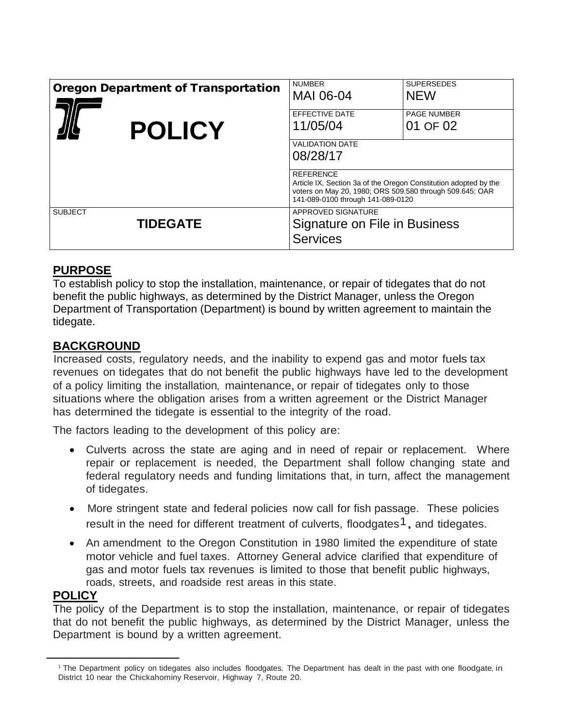| <b>Oregon Department of Transportation</b> | <b>NUMBER</b><br>MAI 06-04                                                                                                                                        | <b>SUPERSEDES</b><br><b>NEW</b> |
|--------------------------------------------|-------------------------------------------------------------------------------------------------------------------------------------------------------------------|---------------------------------|
|                                            | EFFECTIVE DATE                                                                                                                                                    | <b>PAGE NUMBER</b>              |
| <b>POLICY</b>                              | 11/05/04<br><b>VALIDATION DATE</b><br>08/28/17<br><b>REFERENCE</b>                                                                                                | 01 OF 02                        |
|                                            | Article IX, Section 3a of the Oregon Constitution adopted by the<br>voters on May 20, 1980; ORS 509.580 through 509.645; OAR<br>141-089-0100 through 141-089-0120 |                                 |
| <b>SUBJECT</b><br><b>TIDEGATE</b>          | APPROVED SIGNATURE<br>Signature on File in Business<br><b>Services</b>                                                                                            |                                 |

## **PURPOSE**

To establish policy to stop the installation, maintenance, or repair of tidegates that do not benefit the public highways, as determined by the District Manager, unless the Oregon Department of Transportation (Department) is bound by written agreement to maintain the tidegate.

## **BACKGROUND**

Increased costs, regulatory needs, and the inability to expend gas and motor fuels tax revenues on tidegates that do not benefit the public highways have led to the development of a policy limiting the installation, maintenance, or repair of tidegates only to those situations where the obligation arises from a written agreement or the District Manager has determined the tidegate is essential to the integrity of the road.

The factors leading to the development of this policy are:

- Culverts across the state are aging and in need of repair or replacement. Where repair or replacement is needed, the Department shall follow changing state and federal regulatory needs and funding limitations that, in turn, affect the management of tidegates.
- More stringent state and federal policies now call for fish passage. These policies result in the need for different treatment of culverts, floodgates<sup>1</sup>, and tidegates.
- An amendment to the Oregon Constitution in 1980 limited the expenditure of state motor vehicle and fuel taxes. Attorney General advice clarified that expenditure of gas and motor fuels tax revenues is limited to those that benefit public highways, roads, streets, and roadside rest areas in this state.

# **POLICY**

The policy of the Department is to stop the installation, maintenance, or repair of tidegates that do not benefit the public highways, as determined by the District Manager, unless the Department is bound by a written agreement.

 $1$  The Department policy on tidegates also includes floodgates. The Department has dealt in the past with one floodgate, in District 10 near the Chickahominy Reservoir, Highway 7, Route 20.